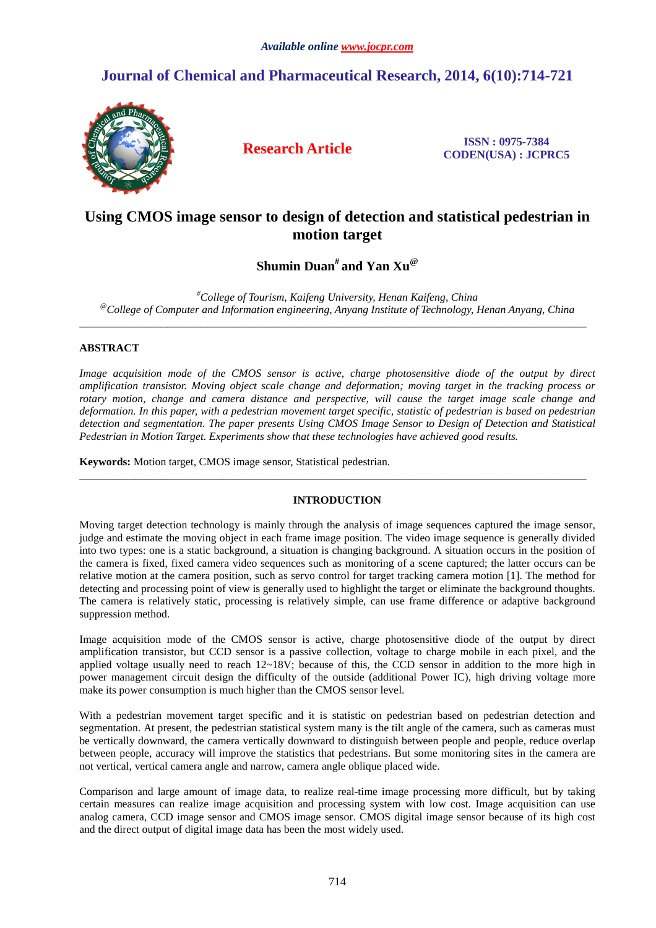# **Journal of Chemical and Pharmaceutical Research, 2014, 6(10):714-721**



**Research Article ISSN : 0975-7384 CODEN(USA) : JCPRC5**

## **Using CMOS image sensor to design of detection and statistical pedestrian in motion target**

# **Shumin Duan# and Yan Xu@**

*#College of Tourism, Kaifeng University, Henan Kaifeng, China @College of Computer and Information engineering, Anyang Institute of Technology, Henan Anyang, China* 

 $\overline{\phantom{a}}$  , and the set of the set of the set of the set of the set of the set of the set of the set of the set of the set of the set of the set of the set of the set of the set of the set of the set of the set of the s

## **ABSTRACT**

*Image acquisition mode of the CMOS sensor is active, charge photosensitive diode of the output by direct amplification transistor. Moving object scale change and deformation; moving target in the tracking process or rotary motion, change and camera distance and perspective, will cause the target image scale change and deformation. In this paper, with a pedestrian movement target specific, statistic of pedestrian is based on pedestrian detection and segmentation. The paper presents Using CMOS Image Sensor to Design of Detection and Statistical Pedestrian in Motion Target. Experiments show that these technologies have achieved good results.* 

**Keywords:** Motion target, CMOS image sensor, Statistical pedestrian.

### **INTRODUCTION**

 $\overline{\phantom{a}}$  , and the set of the set of the set of the set of the set of the set of the set of the set of the set of the set of the set of the set of the set of the set of the set of the set of the set of the set of the s

Moving target detection technology is mainly through the analysis of image sequences captured the image sensor, judge and estimate the moving object in each frame image position. The video image sequence is generally divided into two types: one is a static background, a situation is changing background. A situation occurs in the position of the camera is fixed, fixed camera video sequences such as monitoring of a scene captured; the latter occurs can be relative motion at the camera position, such as servo control for target tracking camera motion [1]. The method for detecting and processing point of view is generally used to highlight the target or eliminate the background thoughts. The camera is relatively static, processing is relatively simple, can use frame difference or adaptive background suppression method.

Image acquisition mode of the CMOS sensor is active, charge photosensitive diode of the output by direct amplification transistor, but CCD sensor is a passive collection, voltage to charge mobile in each pixel, and the applied voltage usually need to reach  $12~18V$ ; because of this, the CCD sensor in addition to the more high in power management circuit design the difficulty of the outside (additional Power IC), high driving voltage more make its power consumption is much higher than the CMOS sensor level.

With a pedestrian movement target specific and it is statistic on pedestrian based on pedestrian detection and segmentation. At present, the pedestrian statistical system many is the tilt angle of the camera, such as cameras must be vertically downward, the camera vertically downward to distinguish between people and people, reduce overlap between people, accuracy will improve the statistics that pedestrians. But some monitoring sites in the camera are not vertical, vertical camera angle and narrow, camera angle oblique placed wide.

Comparison and large amount of image data, to realize real-time image processing more difficult, but by taking certain measures can realize image acquisition and processing system with low cost. Image acquisition can use analog camera, CCD image sensor and CMOS image sensor. CMOS digital image sensor because of its high cost and the direct output of digital image data has been the most widely used.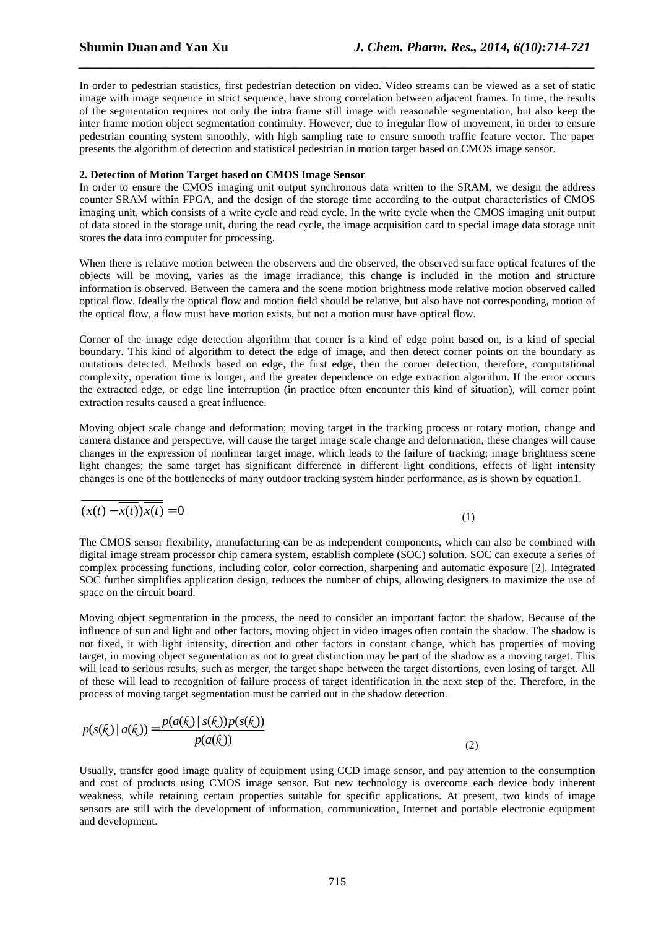In order to pedestrian statistics, first pedestrian detection on video. Video streams can be viewed as a set of static image with image sequence in strict sequence, have strong correlation between adjacent frames. In time, the results of the segmentation requires not only the intra frame still image with reasonable segmentation, but also keep the inter frame motion object segmentation continuity. However, due to irregular flow of movement, in order to ensure pedestrian counting system smoothly, with high sampling rate to ensure smooth traffic feature vector. The paper presents the algorithm of detection and statistical pedestrian in motion target based on CMOS image sensor.

*\_\_\_\_\_\_\_\_\_\_\_\_\_\_\_\_\_\_\_\_\_\_\_\_\_\_\_\_\_\_\_\_\_\_\_\_\_\_\_\_\_\_\_\_\_\_\_\_\_\_\_\_\_\_\_\_\_\_\_\_\_\_\_\_\_\_\_\_\_\_\_\_\_\_\_\_\_\_*

### **2. Detection of Motion Target based on CMOS Image Sensor**

In order to ensure the CMOS imaging unit output synchronous data written to the SRAM, we design the address counter SRAM within FPGA, and the design of the storage time according to the output characteristics of CMOS imaging unit, which consists of a write cycle and read cycle. In the write cycle when the CMOS imaging unit output of data stored in the storage unit, during the read cycle, the image acquisition card to special image data storage unit stores the data into computer for processing.

When there is relative motion between the observers and the observed, the observed surface optical features of the objects will be moving, varies as the image irradiance, this change is included in the motion and structure information is observed. Between the camera and the scene motion brightness mode relative motion observed called optical flow. Ideally the optical flow and motion field should be relative, but also have not corresponding, motion of the optical flow, a flow must have motion exists, but not a motion must have optical flow.

Corner of the image edge detection algorithm that corner is a kind of edge point based on, is a kind of special boundary. This kind of algorithm to detect the edge of image, and then detect corner points on the boundary as mutations detected. Methods based on edge, the first edge, then the corner detection, therefore, computational complexity, operation time is longer, and the greater dependence on edge extraction algorithm. If the error occurs the extracted edge, or edge line interruption (in practice often encounter this kind of situation), will corner point extraction results caused a great influence.

Moving object scale change and deformation; moving target in the tracking process or rotary motion, change and camera distance and perspective, will cause the target image scale change and deformation, these changes will cause changes in the expression of nonlinear target image, which leads to the failure of tracking; image brightness scene light changes; the same target has significant difference in different light conditions, effects of light intensity changes is one of the bottlenecks of many outdoor tracking system hinder performance, as is shown by equation1.

$$
(x(t) - \overline{x(t)})\overline{x(t)} = 0
$$

(1)

The CMOS sensor flexibility, manufacturing can be as independent components, which can also be combined with digital image stream processor chip camera system, establish complete (SOC) solution. SOC can execute a series of complex processing functions, including color, color correction, sharpening and automatic exposure [2]. Integrated SOC further simplifies application design, reduces the number of chips, allowing designers to maximize the use of space on the circuit board.

Moving object segmentation in the process, the need to consider an important factor: the shadow. Because of the influence of sun and light and other factors, moving object in video images often contain the shadow. The shadow is not fixed, it with light intensity, direction and other factors in constant change, which has properties of moving target, in moving object segmentation as not to great distinction may be part of the shadow as a moving target. This will lead to serious results, such as merger, the target shape between the target distortions, even losing of target. All of these will lead to recognition of failure process of target identification in the next step of the. Therefore, in the process of moving target segmentation must be carried out in the shadow detection.

$$
p(s(k) | a(k)) = \frac{p(a(k) | s(k))p(s(k))}{p(a(k))}
$$
\n(2)

Usually, transfer good image quality of equipment using CCD image sensor, and pay attention to the consumption and cost of products using CMOS image sensor. But new technology is overcome each device body inherent weakness, while retaining certain properties suitable for specific applications. At present, two kinds of image sensors are still with the development of information, communication, Internet and portable electronic equipment and development.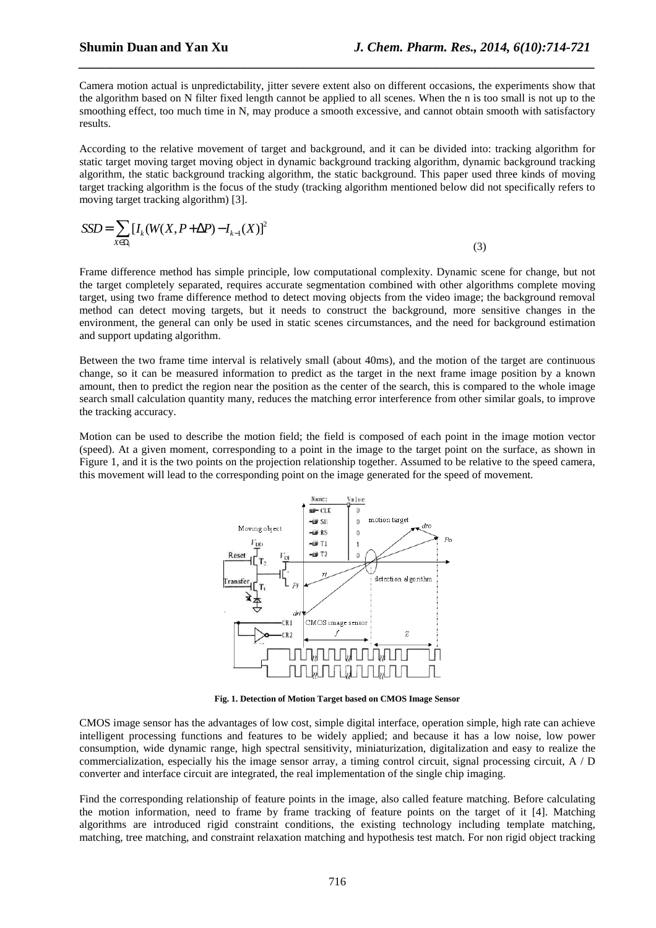Camera motion actual is unpredictability, jitter severe extent also on different occasions, the experiments show that the algorithm based on N filter fixed length cannot be applied to all scenes. When the n is too small is not up to the smoothing effect, too much time in N, may produce a smooth excessive, and cannot obtain smooth with satisfactory results.

*\_\_\_\_\_\_\_\_\_\_\_\_\_\_\_\_\_\_\_\_\_\_\_\_\_\_\_\_\_\_\_\_\_\_\_\_\_\_\_\_\_\_\_\_\_\_\_\_\_\_\_\_\_\_\_\_\_\_\_\_\_\_\_\_\_\_\_\_\_\_\_\_\_\_\_\_\_\_*

According to the relative movement of target and background, and it can be divided into: tracking algorithm for static target moving target moving object in dynamic background tracking algorithm, dynamic background tracking algorithm, the static background tracking algorithm, the static background. This paper used three kinds of moving target tracking algorithm is the focus of the study (tracking algorithm mentioned below did not specifically refers to moving target tracking algorithm) [3].

$$
SSD = \sum_{X \in \Omega_i} \left[ I_k(W(X, P + \Delta P) - I_{k-1}(X) \right]^2 \tag{3}
$$

Frame difference method has simple principle, low computational complexity. Dynamic scene for change, but not the target completely separated, requires accurate segmentation combined with other algorithms complete moving target, using two frame difference method to detect moving objects from the video image; the background removal method can detect moving targets, but it needs to construct the background, more sensitive changes in the environment, the general can only be used in static scenes circumstances, and the need for background estimation and support updating algorithm.

Between the two frame time interval is relatively small (about 40ms), and the motion of the target are continuous change, so it can be measured information to predict as the target in the next frame image position by a known amount, then to predict the region near the position as the center of the search, this is compared to the whole image search small calculation quantity many, reduces the matching error interference from other similar goals, to improve the tracking accuracy.

Motion can be used to describe the motion field; the field is composed of each point in the image motion vector (speed). At a given moment, corresponding to a point in the image to the target point on the surface, as shown in Figure 1, and it is the two points on the projection relationship together. Assumed to be relative to the speed camera, this movement will lead to the corresponding point on the image generated for the speed of movement.



**Fig. 1. Detection of Motion Target based on CMOS Image Sensor** 

CMOS image sensor has the advantages of low cost, simple digital interface, operation simple, high rate can achieve intelligent processing functions and features to be widely applied; and because it has a low noise, low power consumption, wide dynamic range, high spectral sensitivity, miniaturization, digitalization and easy to realize the commercialization, especially his the image sensor array, a timing control circuit, signal processing circuit, A / D converter and interface circuit are integrated, the real implementation of the single chip imaging.

Find the corresponding relationship of feature points in the image, also called feature matching. Before calculating the motion information, need to frame by frame tracking of feature points on the target of it [4]. Matching algorithms are introduced rigid constraint conditions, the existing technology including template matching, matching, tree matching, and constraint relaxation matching and hypothesis test match. For non rigid object tracking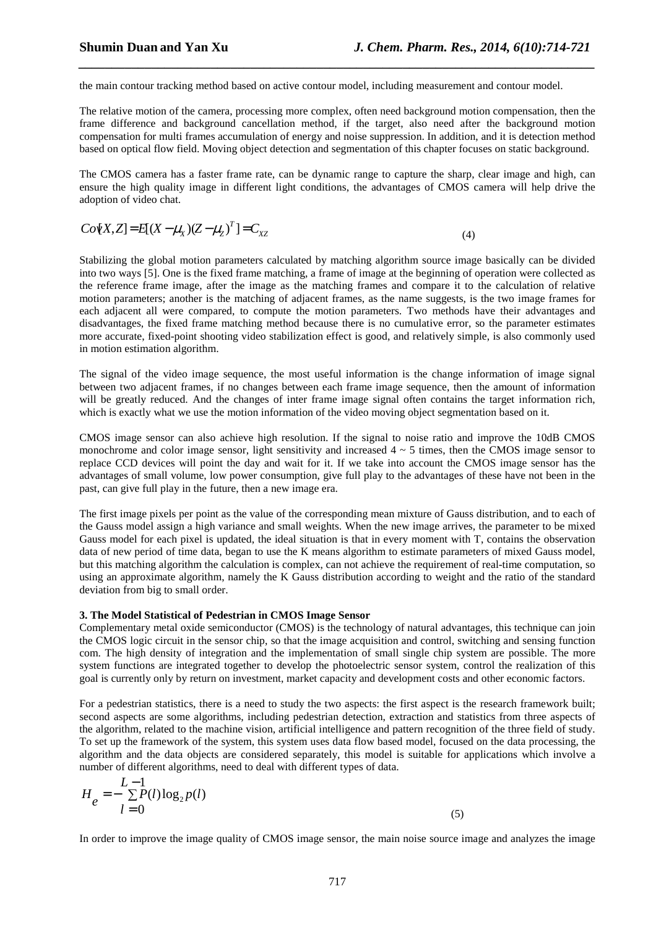the main contour tracking method based on active contour model, including measurement and contour model.

The relative motion of the camera, processing more complex, often need background motion compensation, then the frame difference and background cancellation method, if the target, also need after the background motion compensation for multi frames accumulation of energy and noise suppression. In addition, and it is detection method based on optical flow field. Moving object detection and segmentation of this chapter focuses on static background.

*\_\_\_\_\_\_\_\_\_\_\_\_\_\_\_\_\_\_\_\_\_\_\_\_\_\_\_\_\_\_\_\_\_\_\_\_\_\_\_\_\_\_\_\_\_\_\_\_\_\_\_\_\_\_\_\_\_\_\_\_\_\_\_\_\_\_\_\_\_\_\_\_\_\_\_\_\_\_*

The CMOS camera has a faster frame rate, can be dynamic range to capture the sharp, clear image and high, can ensure the high quality image in different light conditions, the advantages of CMOS camera will help drive the adoption of video chat.

$$
Co[X,Z] = E[(X - \mu_X)(Z - \mu_Z)^T] = C_{XZ}
$$
\n(4)

Stabilizing the global motion parameters calculated by matching algorithm source image basically can be divided into two ways [5]. One is the fixed frame matching, a frame of image at the beginning of operation were collected as the reference frame image, after the image as the matching frames and compare it to the calculation of relative motion parameters; another is the matching of adjacent frames, as the name suggests, is the two image frames for each adjacent all were compared, to compute the motion parameters. Two methods have their advantages and disadvantages, the fixed frame matching method because there is no cumulative error, so the parameter estimates more accurate, fixed-point shooting video stabilization effect is good, and relatively simple, is also commonly used in motion estimation algorithm.

The signal of the video image sequence, the most useful information is the change information of image signal between two adjacent frames, if no changes between each frame image sequence, then the amount of information will be greatly reduced. And the changes of inter frame image signal often contains the target information rich, which is exactly what we use the motion information of the video moving object segmentation based on it.

CMOS image sensor can also achieve high resolution. If the signal to noise ratio and improve the 10dB CMOS monochrome and color image sensor, light sensitivity and increased 4 ~ 5 times, then the CMOS image sensor to replace CCD devices will point the day and wait for it. If we take into account the CMOS image sensor has the advantages of small volume, low power consumption, give full play to the advantages of these have not been in the past, can give full play in the future, then a new image era.

The first image pixels per point as the value of the corresponding mean mixture of Gauss distribution, and to each of the Gauss model assign a high variance and small weights. When the new image arrives, the parameter to be mixed Gauss model for each pixel is updated, the ideal situation is that in every moment with T, contains the observation data of new period of time data, began to use the K means algorithm to estimate parameters of mixed Gauss model, but this matching algorithm the calculation is complex, can not achieve the requirement of real-time computation, so using an approximate algorithm, namely the K Gauss distribution according to weight and the ratio of the standard deviation from big to small order.

### **3. The Model Statistical of Pedestrian in CMOS Image Sensor**

Complementary metal oxide semiconductor (CMOS) is the technology of natural advantages, this technique can join the CMOS logic circuit in the sensor chip, so that the image acquisition and control, switching and sensing function com. The high density of integration and the implementation of small single chip system are possible. The more system functions are integrated together to develop the photoelectric sensor system, control the realization of this goal is currently only by return on investment, market capacity and development costs and other economic factors.

For a pedestrian statistics, there is a need to study the two aspects: the first aspect is the research framework built; second aspects are some algorithms, including pedestrian detection, extraction and statistics from three aspects of the algorithm, related to the machine vision, artificial intelligence and pattern recognition of the three field of study. To set up the framework of the system, this system uses data flow based model, focused on the data processing, the algorithm and the data objects are considered separately, this model is suitable for applications which involve a number of different algorithms, need to deal with different types of data.

$$
H_e = -\sum_{l=0}^{L-1} P(l) \log_2 p(l)
$$
\n(5)

In order to improve the image quality of CMOS image sensor, the main noise source image and analyzes the image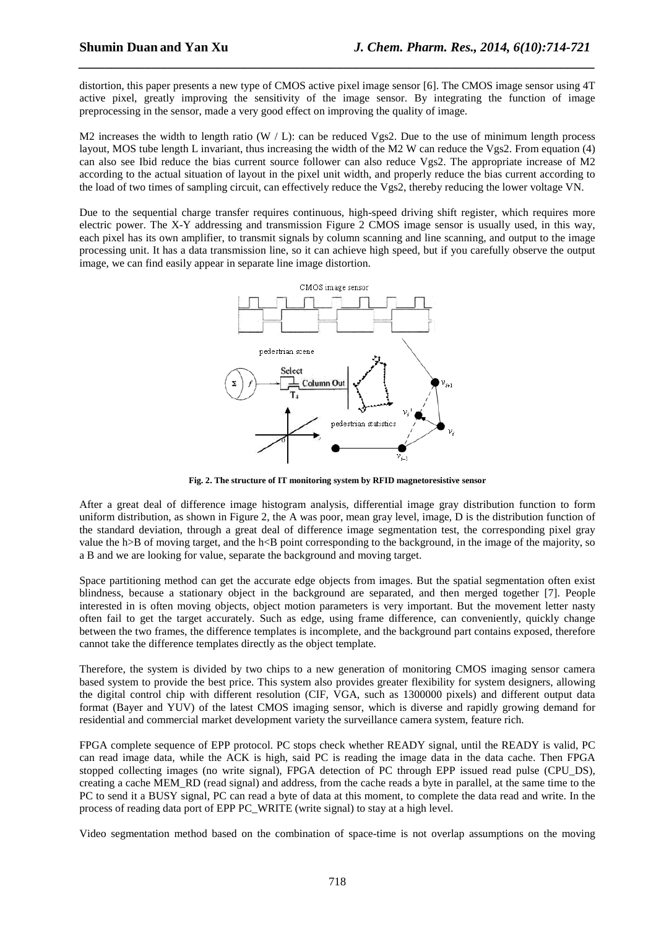distortion, this paper presents a new type of CMOS active pixel image sensor [6]. The CMOS image sensor using 4T active pixel, greatly improving the sensitivity of the image sensor. By integrating the function of image preprocessing in the sensor, made a very good effect on improving the quality of image.

*\_\_\_\_\_\_\_\_\_\_\_\_\_\_\_\_\_\_\_\_\_\_\_\_\_\_\_\_\_\_\_\_\_\_\_\_\_\_\_\_\_\_\_\_\_\_\_\_\_\_\_\_\_\_\_\_\_\_\_\_\_\_\_\_\_\_\_\_\_\_\_\_\_\_\_\_\_\_*

M2 increases the width to length ratio (W  $/$  L): can be reduced Vgs2. Due to the use of minimum length process layout, MOS tube length L invariant, thus increasing the width of the M2 W can reduce the Vgs2. From equation (4) can also see Ibid reduce the bias current source follower can also reduce Vgs2. The appropriate increase of M2 according to the actual situation of layout in the pixel unit width, and properly reduce the bias current according to the load of two times of sampling circuit, can effectively reduce the Vgs2, thereby reducing the lower voltage VN.

Due to the sequential charge transfer requires continuous, high-speed driving shift register, which requires more electric power. The X-Y addressing and transmission Figure 2 CMOS image sensor is usually used, in this way, each pixel has its own amplifier, to transmit signals by column scanning and line scanning, and output to the image processing unit. It has a data transmission line, so it can achieve high speed, but if you carefully observe the output image, we can find easily appear in separate line image distortion.



**Fig. 2. The structure of IT monitoring system by RFID magnetoresistive sensor** 

After a great deal of difference image histogram analysis, differential image gray distribution function to form uniform distribution, as shown in Figure 2, the A was poor, mean gray level, image, D is the distribution function of the standard deviation, through a great deal of difference image segmentation test, the corresponding pixel gray value the h>B of moving target, and the h<B point corresponding to the background, in the image of the majority, so a B and we are looking for value, separate the background and moving target.

Space partitioning method can get the accurate edge objects from images. But the spatial segmentation often exist blindness, because a stationary object in the background are separated, and then merged together [7]. People interested in is often moving objects, object motion parameters is very important. But the movement letter nasty often fail to get the target accurately. Such as edge, using frame difference, can conveniently, quickly change between the two frames, the difference templates is incomplete, and the background part contains exposed, therefore cannot take the difference templates directly as the object template.

Therefore, the system is divided by two chips to a new generation of monitoring CMOS imaging sensor camera based system to provide the best price. This system also provides greater flexibility for system designers, allowing the digital control chip with different resolution (CIF, VGA, such as 1300000 pixels) and different output data format (Bayer and YUV) of the latest CMOS imaging sensor, which is diverse and rapidly growing demand for residential and commercial market development variety the surveillance camera system, feature rich.

FPGA complete sequence of EPP protocol. PC stops check whether READY signal, until the READY is valid, PC can read image data, while the ACK is high, said PC is reading the image data in the data cache. Then FPGA stopped collecting images (no write signal), FPGA detection of PC through EPP issued read pulse (CPU\_DS), creating a cache MEM\_RD (read signal) and address, from the cache reads a byte in parallel, at the same time to the PC to send it a BUSY signal, PC can read a byte of data at this moment, to complete the data read and write. In the process of reading data port of EPP PC\_WRITE (write signal) to stay at a high level.

Video segmentation method based on the combination of space-time is not overlap assumptions on the moving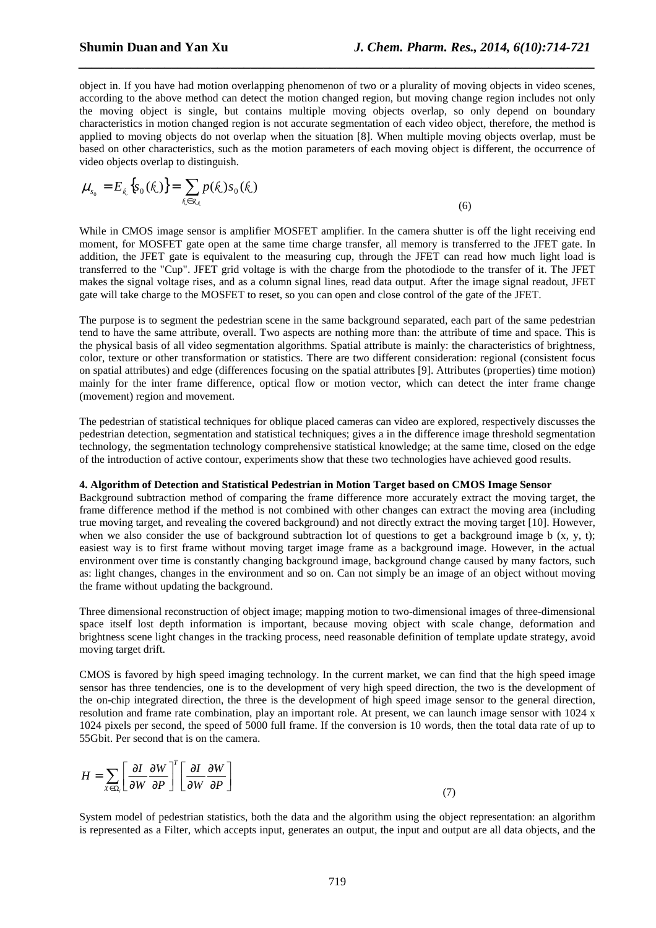object in. If you have had motion overlapping phenomenon of two or a plurality of moving objects in video scenes, according to the above method can detect the motion changed region, but moving change region includes not only the moving object is single, but contains multiple moving objects overlap, so only depend on boundary characteristics in motion changed region is not accurate segmentation of each video object, therefore, the method is applied to moving objects do not overlap when the situation [8]. When multiple moving objects overlap, must be based on other characteristics, such as the motion parameters of each moving object is different, the occurrence of video objects overlap to distinguish.

*\_\_\_\_\_\_\_\_\_\_\_\_\_\_\_\_\_\_\_\_\_\_\_\_\_\_\_\_\_\_\_\_\_\_\_\_\_\_\_\_\_\_\_\_\_\_\_\_\_\_\_\_\_\_\_\_\_\_\_\_\_\_\_\_\_\_\_\_\_\_\_\_\_\_\_\_\_\_*

$$
\mu_{s_0} = E_{\xi} \left\{ s_0(\xi) \right\} = \sum_{\xi \in \mathcal{R}_{\xi}} p(\xi) s_0(\xi)
$$
\n(6)

While in CMOS image sensor is amplifier MOSFET amplifier. In the camera shutter is off the light receiving end moment, for MOSFET gate open at the same time charge transfer, all memory is transferred to the JFET gate. In addition, the JFET gate is equivalent to the measuring cup, through the JFET can read how much light load is transferred to the "Cup". JFET grid voltage is with the charge from the photodiode to the transfer of it. The JFET makes the signal voltage rises, and as a column signal lines, read data output. After the image signal readout, JFET gate will take charge to the MOSFET to reset, so you can open and close control of the gate of the JFET.

The purpose is to segment the pedestrian scene in the same background separated, each part of the same pedestrian tend to have the same attribute, overall. Two aspects are nothing more than: the attribute of time and space. This is the physical basis of all video segmentation algorithms. Spatial attribute is mainly: the characteristics of brightness, color, texture or other transformation or statistics. There are two different consideration: regional (consistent focus on spatial attributes) and edge (differences focusing on the spatial attributes [9]. Attributes (properties) time motion) mainly for the inter frame difference, optical flow or motion vector, which can detect the inter frame change (movement) region and movement.

The pedestrian of statistical techniques for oblique placed cameras can video are explored, respectively discusses the pedestrian detection, segmentation and statistical techniques; gives a in the difference image threshold segmentation technology, the segmentation technology comprehensive statistical knowledge; at the same time, closed on the edge of the introduction of active contour, experiments show that these two technologies have achieved good results.

#### **4. Algorithm of Detection and Statistical Pedestrian in Motion Target based on CMOS Image Sensor**

Background subtraction method of comparing the frame difference more accurately extract the moving target, the frame difference method if the method is not combined with other changes can extract the moving area (including true moving target, and revealing the covered background) and not directly extract the moving target [10]. However, when we also consider the use of background subtraction lot of questions to get a background image b  $(x, y, t)$ ; easiest way is to first frame without moving target image frame as a background image. However, in the actual environment over time is constantly changing background image, background change caused by many factors, such as: light changes, changes in the environment and so on. Can not simply be an image of an object without moving the frame without updating the background.

Three dimensional reconstruction of object image; mapping motion to two-dimensional images of three-dimensional space itself lost depth information is important, because moving object with scale change, deformation and brightness scene light changes in the tracking process, need reasonable definition of template update strategy, avoid moving target drift.

CMOS is favored by high speed imaging technology. In the current market, we can find that the high speed image sensor has three tendencies, one is to the development of very high speed direction, the two is the development of the on-chip integrated direction, the three is the development of high speed image sensor to the general direction, resolution and frame rate combination, play an important role. At present, we can launch image sensor with 1024 x 1024 pixels per second, the speed of 5000 full frame. If the conversion is 10 words, then the total data rate of up to 55Gbit. Per second that is on the camera.

$$
H = \sum_{X \in \Omega_i} \left[ \frac{\partial I}{\partial W} \frac{\partial W}{\partial P} \right]^T \left[ \frac{\partial I}{\partial W} \frac{\partial W}{\partial P} \right] \tag{7}
$$

System model of pedestrian statistics, both the data and the algorithm using the object representation: an algorithm is represented as a Filter, which accepts input, generates an output, the input and output are all data objects, and the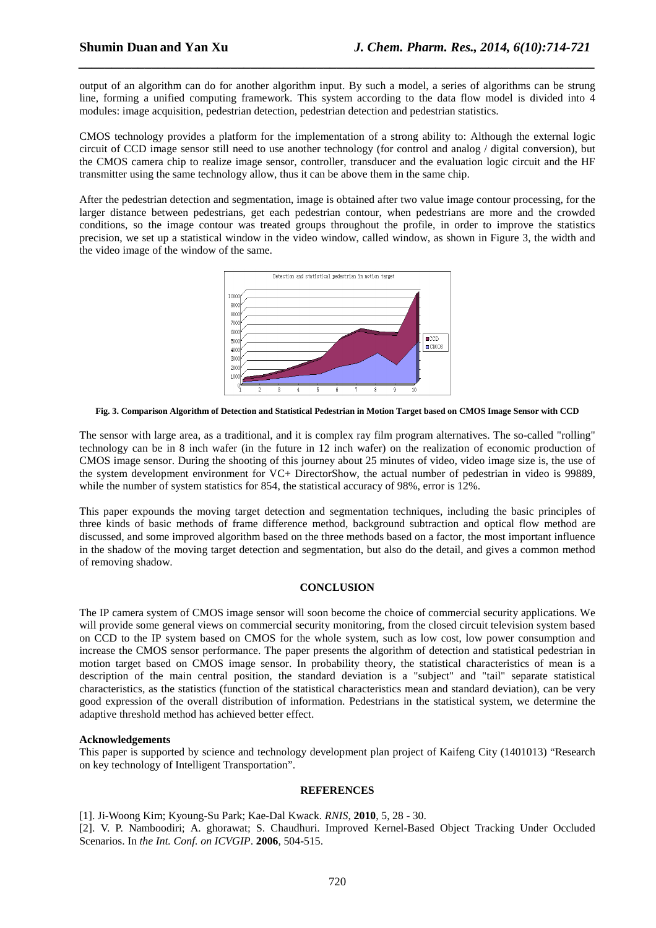output of an algorithm can do for another algorithm input. By such a model, a series of algorithms can be strung line, forming a unified computing framework. This system according to the data flow model is divided into 4 modules: image acquisition, pedestrian detection, pedestrian detection and pedestrian statistics.

*\_\_\_\_\_\_\_\_\_\_\_\_\_\_\_\_\_\_\_\_\_\_\_\_\_\_\_\_\_\_\_\_\_\_\_\_\_\_\_\_\_\_\_\_\_\_\_\_\_\_\_\_\_\_\_\_\_\_\_\_\_\_\_\_\_\_\_\_\_\_\_\_\_\_\_\_\_\_*

CMOS technology provides a platform for the implementation of a strong ability to: Although the external logic circuit of CCD image sensor still need to use another technology (for control and analog / digital conversion), but the CMOS camera chip to realize image sensor, controller, transducer and the evaluation logic circuit and the HF transmitter using the same technology allow, thus it can be above them in the same chip.

After the pedestrian detection and segmentation, image is obtained after two value image contour processing, for the larger distance between pedestrians, get each pedestrian contour, when pedestrians are more and the crowded conditions, so the image contour was treated groups throughout the profile, in order to improve the statistics precision, we set up a statistical window in the video window, called window, as shown in Figure 3, the width and the video image of the window of the same.



**Fig. 3. Comparison Algorithm of Detection and Statistical Pedestrian in Motion Target based on CMOS Image Sensor with CCD** 

The sensor with large area, as a traditional, and it is complex ray film program alternatives. The so-called "rolling" technology can be in 8 inch wafer (in the future in 12 inch wafer) on the realization of economic production of CMOS image sensor. During the shooting of this journey about 25 minutes of video, video image size is, the use of the system development environment for VC+ DirectorShow, the actual number of pedestrian in video is 99889, while the number of system statistics for 854, the statistical accuracy of 98%, error is 12%.

This paper expounds the moving target detection and segmentation techniques, including the basic principles of three kinds of basic methods of frame difference method, background subtraction and optical flow method are discussed, and some improved algorithm based on the three methods based on a factor, the most important influence in the shadow of the moving target detection and segmentation, but also do the detail, and gives a common method of removing shadow.

### **CONCLUSION**

The IP camera system of CMOS image sensor will soon become the choice of commercial security applications. We will provide some general views on commercial security monitoring, from the closed circuit television system based on CCD to the IP system based on CMOS for the whole system, such as low cost, low power consumption and increase the CMOS sensor performance. The paper presents the algorithm of detection and statistical pedestrian in motion target based on CMOS image sensor. In probability theory, the statistical characteristics of mean is a description of the main central position, the standard deviation is a "subject" and "tail" separate statistical characteristics, as the statistics (function of the statistical characteristics mean and standard deviation), can be very good expression of the overall distribution of information. Pedestrians in the statistical system, we determine the adaptive threshold method has achieved better effect.

### **Acknowledgements**

This paper is supported by science and technology development plan project of Kaifeng City (1401013) "Research on key technology of Intelligent Transportation".

#### **REFERENCES**

[1]. Ji-Woong Kim; Kyoung-Su Park; Kae-Dal Kwack. *RNIS*, **2010**, 5, 28 - 30.

[2]. V. P. Namboodiri; A. ghorawat; S. Chaudhuri. Improved Kernel-Based Object Tracking Under Occluded Scenarios. In *the Int. Conf. on ICVGIP*. **2006**, 504-515.